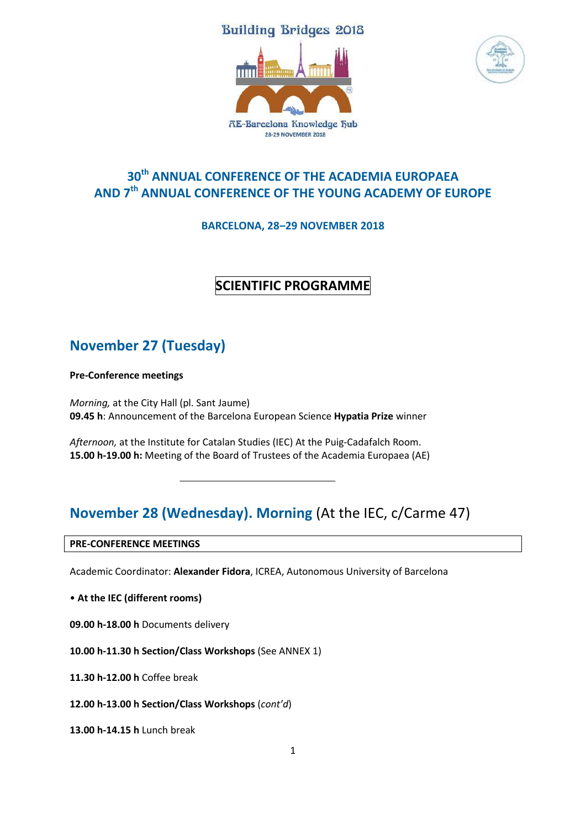### **Building Bridges 2018**





## **30th ANNUAL CONFERENCE OF THE ACADEMIA EUROPAEA AND 7 th ANNUAL CONFERENCE OF THE YOUNG ACADEMY OF EUROPE**

**BARCELONA, 28‒29 NOVEMBER 2018**

### **SCIENTIFIC PROGRAMME**

## **November 27 (Tuesday)**

**Pre-Conference meetings**

*Morning,* at the City Hall (pl. Sant Jaume) **09.45 h**: Announcement of the Barcelona European Science **Hypatia Prize** winner

*Afternoon,* at the Institute for Catalan Studies (IEC) At the Puig-Cadafalch Room. **15.00 h-19.00 h:** Meeting of the Board of Trustees of the Academia Europaea (AE)

## **November 28 (Wednesday). Morning** (At the IEC, c/Carme 47)

**PRE-CONFERENCE MEETINGS**

Academic Coordinator: **Alexander Fidora**, ICREA, Autonomous University of Barcelona

• **At the IEC (different rooms)**

**09.00 h-18.00 h** Documents delivery

**10.00 h-11.30 h Section/Class Workshops** (See ANNEX 1)

**11.30 h-12.00 h** Coffee break

**12.00 h-13.00 h Section/Class Workshops** (*cont'd*)

**13.00 h-14.15 h** Lunch break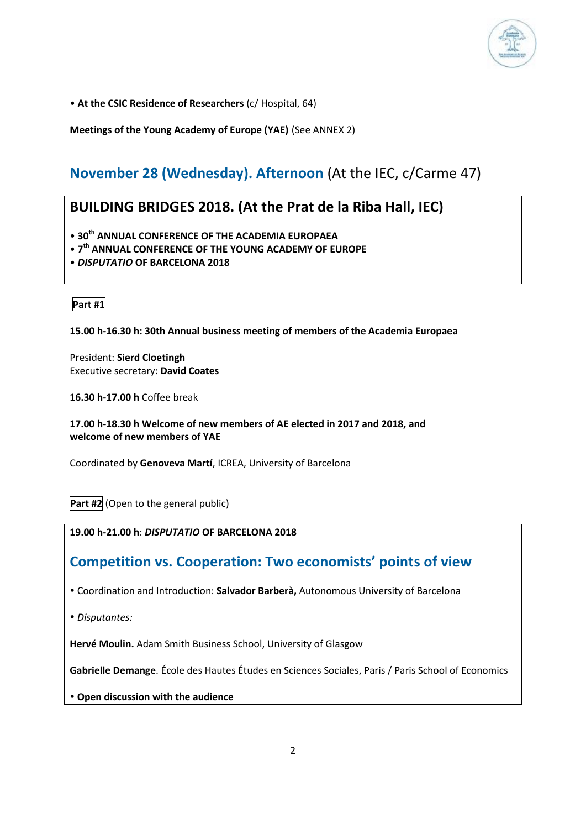

• **At the CSIC Residence of Researchers** (c/ Hospital, 64)

**Meetings of the Young Academy of Europe (YAE)** (See ANNEX 2)

## **November 28 (Wednesday). Afternoon** (At the IEC, c/Carme 47)

### **BUILDING BRIDGES 2018. (At the Prat de la Riba Hall, IEC)**

• **30th ANNUAL CONFERENCE OF THE ACADEMIA EUROPAEA**

- **7 th ANNUAL CONFERENCE OF THE YOUNG ACADEMY OF EUROPE**
- *DISPUTATIO* **OF BARCELONA 2018**

**Part #1**

#### **15.00 h-16.30 h: 30th Annual business meeting of members of the Academia Europaea**

President: **Sierd Cloetingh** Executive secretary: **David Coates**

**16.30 h-17.00 h** Coffee break

**17.00 h-18.30 h Welcome of new members of AE elected in 2017 and 2018, and welcome of new members of YAE**

Coordinated by **Genoveva Martí**, ICREA, University of Barcelona

**Part #2** (Open to the general public)

**19.00 h-21.00 h**: *DISPUTATIO* **OF BARCELONA 2018**

### **Competition vs. Cooperation: Two economists' points of view**

Coordination and Introduction: **Salvador Barberà,** Autonomous University of Barcelona

*Disputantes:*

**Hervé Moulin.** Adam Smith Business School, University of Glasgow

**Gabrielle Demange**. École des Hautes Études en Sciences Sociales, Paris / Paris School of Economics

**Open discussion with the audience**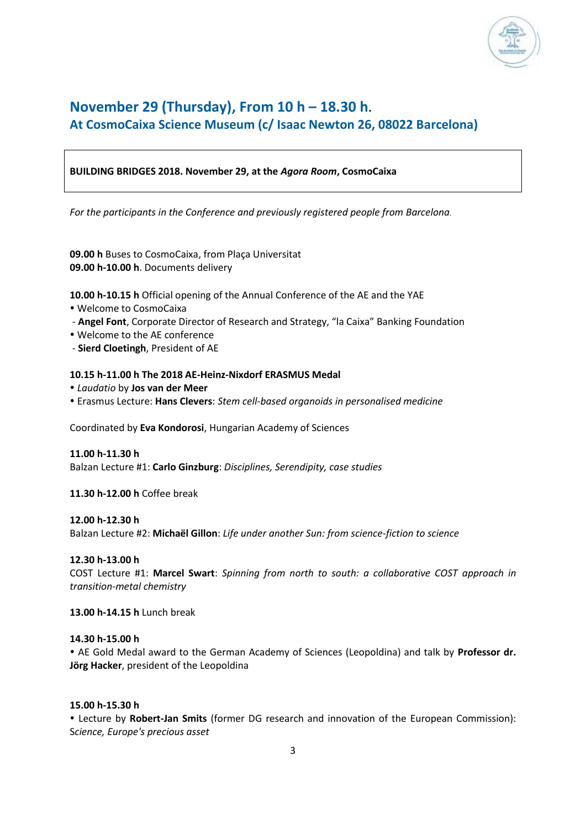

### **November 29 (Thursday), From 10 h – 18.30 h**. **At CosmoCaixa Science Museum (c/ Isaac Newton 26, 08022 Barcelona)**

#### **BUILDING BRIDGES 2018. November 29, at the** *Agora Room***, CosmoCaixa**

*For the participants in the Conference and previously registered people from Barcelona.*

**09.00 h** Buses to CosmoCaixa, from Plaça Universitat **09.00 h-10.00 h**. Documents delivery

**10.00 h-10.15 h** Official opening of the Annual Conference of the AE and the YAE

- Welcome to CosmoCaixa
- **Angel Font**, Corporate Director of Research and Strategy, "la Caixa" Banking Foundation
- Welcome to the AE conference
- **Sierd Cloetingh**, President of AE

#### **10.15 h-11.00 h The 2018 AE-Heinz-Nixdorf ERASMUS Medal**

- *Laudatio* by **Jos van der Meer**
- Erasmus Lecture: **Hans Clevers**: *Stem cell-based organoids in personalised medicine*

Coordinated by **Eva Kondorosi**, Hungarian Academy of Sciences

#### **11.00 h-11.30 h**

Balzan Lecture #1: **Carlo Ginzburg**: *Disciplines, Serendipity, case studies*

#### **11.30 h-12.00 h** Coffee break

#### **12.00 h-12.30 h**

Balzan Lecture #2: **Michaël Gillon**: *Life under another Sun: from science-fiction to science*

#### **12.30 h-13.00 h**

COST Lecture #1: **Marcel Swart**: *Spinning from north to south: a collaborative COST approach in transition-metal chemistry*

**13.00 h-14.15 h** Lunch break

#### **14.30 h-15.00 h**

 AE Gold Medal award to the German Academy of Sciences (Leopoldina) and talk by **Professor dr. Jörg Hacker**, president of the Leopoldina

#### **15.00 h-15.30 h**

 Lecture by **Robert-Jan Smits** (former DG research and innovation of the European Commission): S*cience, Europe's precious asset*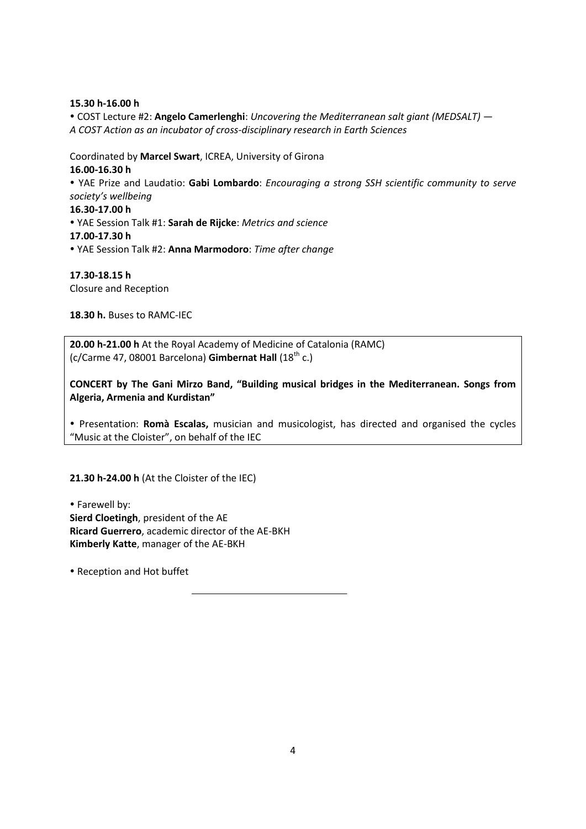**15.30 h-16.00 h**

 COST Lecture #2: **Angelo Camerlenghi**: *Uncovering the Mediterranean salt giant (MEDSALT) — A COST Action as an incubator of cross-disciplinary research in Earth Sciences*

Coordinated by **Marcel Swart**, ICREA, University of Girona

**16.00-16.30 h**

 YAE Prize and Laudatio: **Gabi Lombardo**: *Encouraging a strong SSH scientific community to serve society's wellbeing*

**16.30-17.00 h**

 YAE Session Talk #1: **Sarah de Rijcke**: *Metrics and science* **17.00-17.30 h**

YAE Session Talk #2: **Anna Marmodoro**: *Time after change*

**17.30-18.15 h** Closure and Reception

**18.30 h.** Buses to RAMC-IEC

**20.00 h-21.00 h** At the Royal Academy of Medicine of Catalonia (RAMC) (c/Carme 47, 08001 Barcelona) **Gimbernat Hall** (18th c.)

**CONCERT by The Gani Mirzo Band, "Building musical bridges in the Mediterranean. Songs from Algeria, Armenia and Kurdistan"**

 Presentation: **Romà Escalas,** musician and musicologist, has directed and organised the cycles "Music at the Cloister", on behalf of the IEC

**21.30 h-24.00 h** (At the Cloister of the IEC)

 Farewell by: **Sierd Cloetingh**, president of the AE **Ricard Guerrero**, academic director of the AE-BKH **Kimberly Katte**, manager of the AE-BKH

• Reception and Hot buffet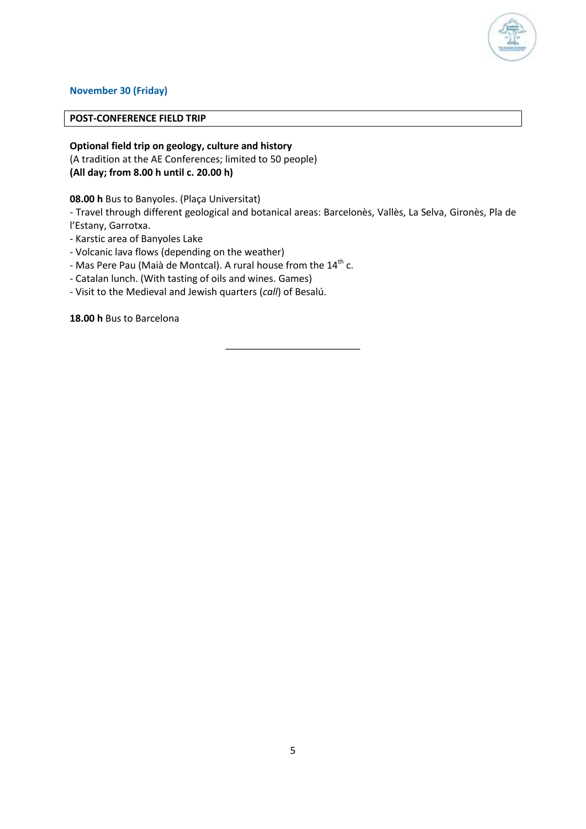

#### **November 30 (Friday)**

#### **POST-CONFERENCE FIELD TRIP**

**Optional field trip on geology, culture and history** (A tradition at the AE Conferences; limited to 50 people) **(All day; from 8.00 h until c. 20.00 h)**

**08.00 h** Bus to Banyoles. (Plaça Universitat)

- Travel through different geological and botanical areas: Barcelonès, Vallès, La Selva, Gironès, Pla de l'Estany, Garrotxa.

\_\_\_\_\_\_\_\_\_\_\_\_\_\_\_\_\_\_\_\_\_\_\_\_\_

- Karstic area of Banyoles Lake
- Volcanic lava flows (depending on the weather)
- Mas Pere Pau (Maià de Montcal). A rural house from the 14<sup>th</sup> c.
- Catalan lunch. (With tasting of oils and wines. Games)
- Visit to the Medieval and Jewish quarters (*call*) of Besalú.

**18.00 h** Bus to Barcelona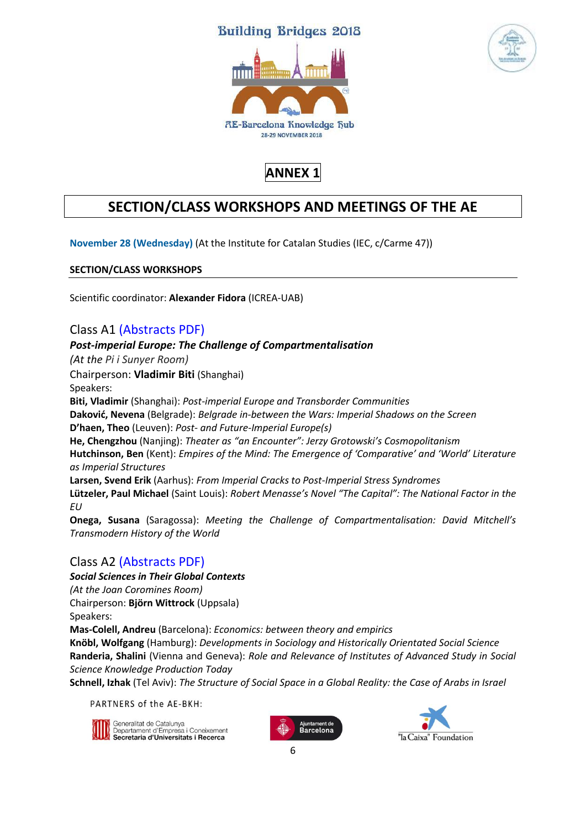### **Building Bridges 2018**





**ANNEX 1**

## **SECTION/CLASS WORKSHOPS AND MEETINGS OF THE AE**

**November 28 (Wednesday)** (At the Institute for Catalan Studies (IEC, c/Carme 47))

**SECTION/CLASS WORKSHOPS**

Scientific coordinator: **Alexander Fidora** (ICREA-UAB)

### Class A1 [\(Abstracts PDF\)](http://barcelona.acadeuro.org/wp-content/uploads/2018/11/Class-A1-Abstracts.pdf)

#### *Post-imperial Europe: The Challenge of Compartmentalisation*

*(At the Pi i Sunyer Room)*

Chairperson: **Vladimir Biti** (Shanghai)

Speakers:

**Biti, Vladimir** (Shanghai): *Post-imperial Europe and Transborder Communities* 

**Daković, Nevena** (Belgrade): *Belgrade in-between the Wars: Imperial Shadows on the Screen* 

**D'haen, Theo** (Leuven): *Post- and Future-Imperial Europe(s)*

**He, Chengzhou** (Nanjing): *Theater as "an Encounter": Jerzy Grotowski's Cosmopolitanism* **Hutchinson, Ben** (Kent): *Empires of the Mind: The Emergence of 'Comparative' and 'World' Literature as Imperial Structures* 

**Larsen, Svend Erik** (Aarhus): *From Imperial Cracks to Post-Imperial Stress Syndromes* 

**Lützeler, Paul Michael** (Saint Louis): *Robert Menasse's Novel "The Capital": The National Factor in the EU* 

**Onega, Susana** (Saragossa): *Meeting the Challenge of Compartmentalisation: David Mitchell's Transmodern History of the World*

### Class A2 [\(Abstracts PDF\)](http://barcelona.acadeuro.org/wp-content/uploads/2018/11/Class-A2-Abstracts.pdf)

*Social Sciences in Their Global Contexts (At the Joan Coromines Room)* Chairperson: **Björn Wittrock** (Uppsala)

Speakers:

**Mas-Colell, Andreu** (Barcelona): *Economics: between theory and empirics*

**Knöbl, Wolfgang** (Hamburg): *Developments in Sociology and Historically Orientated Social Science*  **Randeria, Shalini** (Vienna and Geneva): *Role and Relevance of Institutes of Advanced Study in Social Science Knowledge Production Today*

**Schnell, Izhak** (Tel Aviv): *The Structure of Social Space in a Global Reality: the Case of Arabs in Israel*

PARTNERS of the AE-BKH:



**i** Generalitat de Catalunya<br>| Departament d'Empresa i Coneixement<br>**| Secretaria d'Universitats i Recerca** 



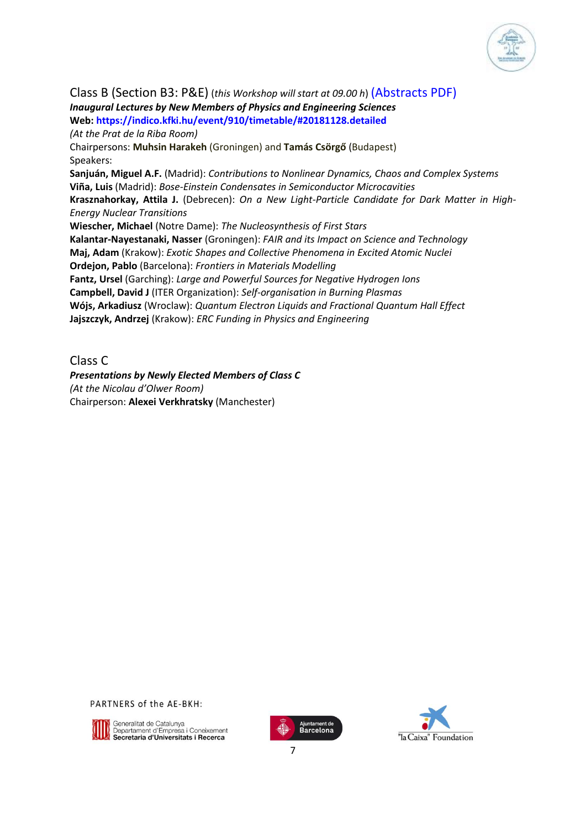

Class B (Section B3: P&E) (*this Workshop will start at 09.00 h*) [\(Abstracts PDF\)](http://barcelona.acadeuro.org/wp-content/uploads/2018/11/Class-B-PE-Abstracts.pdf) *Inaugural Lectures by New Members of Physics and Engineering Sciences*  **Web: [https://indico.kfki.hu/event/910/timetable/#20181128.detailed](https://indico.kfki.hu/event/910/timetable/%2320181128.detailed)** *(At the Prat de la Riba Room)* Chairpersons: **Muhsin Harakeh** (Groningen) and **Tamás Csörgő** (Budapest) Speakers: **Sanjuán, Miguel A.F.** (Madrid): *Contributions to Nonlinear Dynamics, Chaos and Complex Systems* **Viña, Luis** (Madrid): *Bose-Einstein Condensates in Semiconductor Microcavities* **Krasznahorkay, Attila J.** (Debrecen): *On a New Light-Particle Candidate for Dark Matter in High-Energy Nuclear Transitions* **Wiescher, Michael** (Notre Dame): *The Nucleosynthesis of First Stars* **Kalantar-Nayestanaki, Nasser** (Groningen): *FAIR and its Impact on Science and Technology* **Maj, Adam** (Krakow): *Exotic Shapes and Collective Phenomena in Excited Atomic Nuclei* **Ordejon, Pablo** (Barcelona): *Frontiers in Materials Modelling* **Fantz, Ursel** (Garching): *Large and Powerful Sources for Negative Hydrogen Ions*

**Campbell, David J** (ITER Organization): *Self-organisation in Burning Plasmas* **Wójs, Arkadiusz** (Wroclaw): *Quantum Electron Liquids and Fractional Quantum Hall Effect* **Jajszczyk, Andrzej** (Krakow): *ERC Funding in Physics and Engineering*

Class C

*Presentations by Newly Elected Members of Class C (At the Nicolau d'Olwer Room)* Chairperson: **Alexei Verkhratsky** (Manchester)

PARTNERS of the AE-BKH:



Seneralitat de Catalunya<br>Departament d'Empresa i Coneixement<br>**4 Secretaria d'Universitats i Recerca**